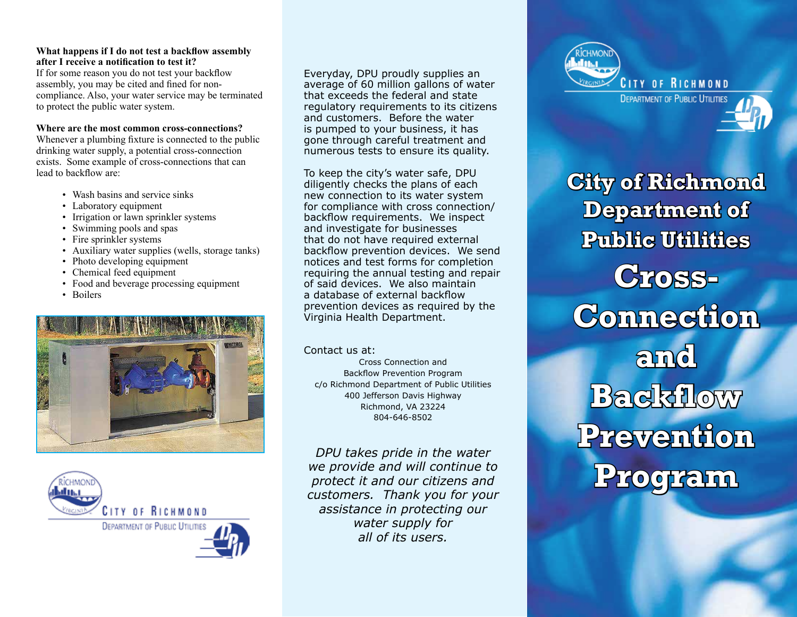## **What happens if I do not test a backflow assembly after I receive a notification to test it?**

If for some reason you do not test your backflow assembly, you may be cited and fined for noncompliance. Also, your water service may be terminated to protect the public water system.

## **Where are the most common cross-connections?**

Whenever a plumbing fixture is connected to the public drinking water supply, a potential cross-connection exists. Some example of cross-connections that can lead to backflow are:

- Wash basins and service sinks
- Laboratory equipment
- Irrigation or lawn sprinkler systems
- Swimming pools and spas
- Fire sprinkler systems
- Auxiliary water supplies (wells, storage tanks)
- Photo developing equipment
- Chemical feed equipment
- Food and beverage processing equipment
- Boilers





## Everyday, DPU proudly supplies an average of 60 million gallons of water that exceeds the federal and state regulatory requirements to its citizens and customers. Before the water is pumped to your business, it has gone through careful treatment and numerous tests to ensure its quality.

To keep the city's water safe, DPU diligently checks the plans of each new connection to its water system for compliance with cross connection/ backflow requirements. We inspect and investigate for businesses that do not have required external backflow prevention devices. We send notices and test forms for completion requiring the annual testing and repair of said devices. We also maintain a database of external backflow prevention devices as required by the Virginia Health Department.

# Contact us at:

Cross Connection and Backflow Prevention Program c/o Richmond Department of Public Utilities 400 Jefferson Davis Highway Richmond, VA 23224 804-646-8502

*DPU takes pride in the water we provide and will continue to protect it and our citizens and customers. Thank you for your assistance in protecting our water supply for all of its users.*



**City of Richmond Department of Public Utilities Cross-Connection and Backflow Prevention Program**